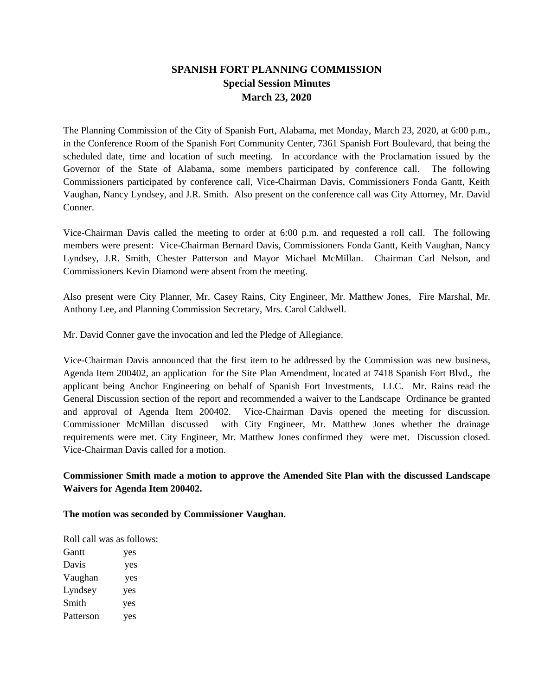## **SPANISH FORT PLANNING COMMISSION Special Session Minutes March 23, 2020**

The Planning Commission of the City of Spanish Fort, Alabama, met Monday, March 23, 2020, at 6:00 p.m., in the Conference Room of the Spanish Fort Community Center, 7361 Spanish Fort Boulevard, that being the scheduled date, time and location of such meeting. In accordance with the Proclamation issued by the Governor of the State of Alabama, some members participated by conference call. The following Commissioners participated by conference call, Vice-Chairman Davis, Commissioners Fonda Gantt, Keith Vaughan, Nancy Lyndsey, and J.R. Smith. Also present on the conference call was City Attorney, Mr. David Conner.

Vice-Chairman Davis called the meeting to order at 6:00 p.m. and requested a roll call. The following members were present: Vice-Chairman Bernard Davis, Commissioners Fonda Gantt, Keith Vaughan, Nancy Lyndsey, J.R. Smith, Chester Patterson and Mayor Michael McMillan. Chairman Carl Nelson, and Commissioners Kevin Diamond were absent from the meeting.

Also present were City Planner, Mr. Casey Rains, City Engineer, Mr. Matthew Jones, Fire Marshal, Mr. Anthony Lee, and Planning Commission Secretary, Mrs. Carol Caldwell.

Mr. David Conner gave the invocation and led the Pledge of Allegiance.

Vice-Chairman Davis announced that the first item to be addressed by the Commission was new business, Agenda Item 200402, an application for the Site Plan Amendment, located at 7418 Spanish Fort Blvd., the applicant being Anchor Engineering on behalf of Spanish Fort Investments, LLC. Mr. Rains read the General Discussion section of the report and recommended a waiver to the Landscape Ordinance be granted and approval of Agenda Item 200402. Vice-Chairman Davis opened the meeting for discussion. Commissioner McMillan discussed with City Engineer, Mr. Matthew Jones whether the drainage requirements were met. City Engineer, Mr. Matthew Jones confirmed they were met. Discussion closed. Vice-Chairman Davis called for a motion.

## **Commissioner Smith made a motion to approve the Amended Site Plan with the discussed Landscape Waivers for Agenda Item 200402.**

**The motion was seconded by Commissioner Vaughan.**

Roll call was as follows:

| <b>Gantt</b> | yes |
|--------------|-----|
| Davis        | yes |
| Vaughan      | yes |
| Lyndsey      | yes |
| Smith        | yes |
| Patterson    | yes |